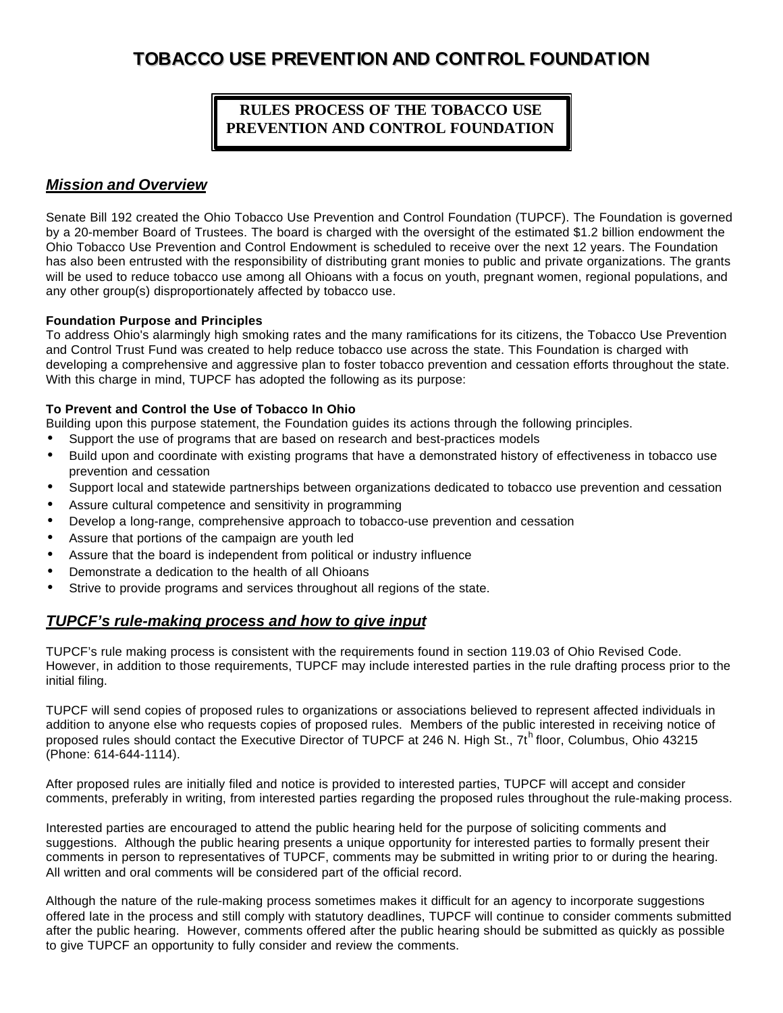# **TOBACCO USE PREVENTION AND CONTROL FOUNDATION**

# **RULES PROCESS OF THE TOBACCO USE PREVENTION AND CONTROL FOUNDATION**

## *Mission and Overview*

Senate Bill 192 created the Ohio Tobacco Use Prevention and Control Foundation (TUPCF). The Foundation is governed by a 20-member Board of Trustees. The board is charged with the oversight of the estimated \$1.2 billion endowment the Ohio Tobacco Use Prevention and Control Endowment is scheduled to receive over the next 12 years. The Foundation has also been entrusted with the responsibility of distributing grant monies to public and private organizations. The grants will be used to reduce tobacco use among all Ohioans with a focus on youth, pregnant women, regional populations, and any other group(s) disproportionately affected by tobacco use.

#### **Foundation Purpose and Principles**

To address Ohio's alarmingly high smoking rates and the many ramifications for its citizens, the Tobacco Use Prevention and Control Trust Fund was created to help reduce tobacco use across the state. This Foundation is charged with developing a comprehensive and aggressive plan to foster tobacco prevention and cessation efforts throughout the state. With this charge in mind, TUPCF has adopted the following as its purpose:

#### **To Prevent and Control the Use of Tobacco In Ohio**

Building upon this purpose statement, the Foundation guides its actions through the following principles.

- Support the use of programs that are based on research and best-practices models
- Build upon and coordinate with existing programs that have a demonstrated history of effectiveness in tobacco use prevention and cessation
- Support local and statewide partnerships between organizations dedicated to tobacco use prevention and cessation
- Assure cultural competence and sensitivity in programming
- Develop a long-range, comprehensive approach to tobacco-use prevention and cessation
- Assure that portions of the campaign are youth led
- Assure that the board is independent from political or industry influence
- Demonstrate a dedication to the health of all Ohioans
- Strive to provide programs and services throughout all regions of the state.

### *TUPCF's rule-making process and how to give input*

TUPCF's rule making process is consistent with the requirements found in section 119.03 of Ohio Revised Code. However, in addition to those requirements, TUPCF may include interested parties in the rule drafting process prior to the initial filing.

TUPCF will send copies of proposed rules to organizations or associations believed to represent affected individuals in addition to anyone else who requests copies of proposed rules. Members of the public interested in receiving notice of proposed rules should contact the Executive Director of TUPCF at 246 N. High St., 7th floor, Columbus, Ohio 43215 (Phone: 614-644-1114).

After proposed rules are initially filed and notice is provided to interested parties, TUPCF will accept and consider comments, preferably in writing, from interested parties regarding the proposed rules throughout the rule-making process.

Interested parties are encouraged to attend the public hearing held for the purpose of soliciting comments and suggestions. Although the public hearing presents a unique opportunity for interested parties to formally present their comments in person to representatives of TUPCF, comments may be submitted in writing prior to or during the hearing. All written and oral comments will be considered part of the official record.

Although the nature of the rule-making process sometimes makes it difficult for an agency to incorporate suggestions offered late in the process and still comply with statutory deadlines, TUPCF will continue to consider comments submitted after the public hearing. However, comments offered after the public hearing should be submitted as quickly as possible to give TUPCF an opportunity to fully consider and review the comments.